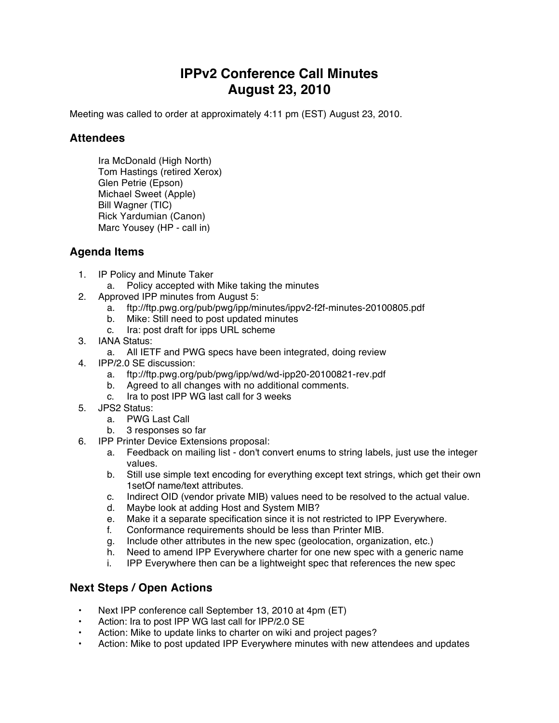## **IPPv2 Conference Call Minutes August 23, 2010**

Meeting was called to order at approximately 4:11 pm (EST) August 23, 2010.

## **Attendees**

Ira McDonald (High North) Tom Hastings (retired Xerox) Glen Petrie (Epson) Michael Sweet (Apple) Bill Wagner (TIC) Rick Yardumian (Canon) Marc Yousey (HP - call in)

## **Agenda Items**

- 1. IP Policy and Minute Taker
	- a. Policy accepted with Mike taking the minutes
- 2. Approved IPP minutes from August 5:
	- a. ftp://ftp.pwg.org/pub/pwg/ipp/minutes/ippv2-f2f-minutes-20100805.pdf
	- b. Mike: Still need to post updated minutes
	- c. Ira: post draft for ipps URL scheme
- 3. IANA Status:
	- a. All IETF and PWG specs have been integrated, doing review
- 4. IPP/2.0 SE discussion:
	- a. ftp://ftp.pwg.org/pub/pwg/ipp/wd/wd-ipp20-20100821-rev.pdf
	- b. Agreed to all changes with no additional comments.
	- c. Ira to post IPP WG last call for 3 weeks
- 5. JPS2 Status:
	- a. PWG Last Call
	- b. 3 responses so far
- 6. IPP Printer Device Extensions proposal:
	- a. Feedback on mailing list don't convert enums to string labels, just use the integer values.
	- b. Still use simple text encoding for everything except text strings, which get their own 1setOf name/text attributes.
	- c. Indirect OID (vendor private MIB) values need to be resolved to the actual value.
	- d. Maybe look at adding Host and System MIB?
	- e. Make it a separate specification since it is not restricted to IPP Everywhere.
	- f. Conformance requirements should be less than Printer MIB.
	- g. Include other attributes in the new spec (geolocation, organization, etc.)
	- h. Need to amend IPP Everywhere charter for one new spec with a generic name
	- i. IPP Everywhere then can be a lightweight spec that references the new spec

## **Next Steps / Open Actions**

- Next IPP conference call September 13, 2010 at 4pm (ET)
- Action: Ira to post IPP WG last call for IPP/2.0 SE
- Action: Mike to update links to charter on wiki and project pages?
- Action: Mike to post updated IPP Everywhere minutes with new attendees and updates